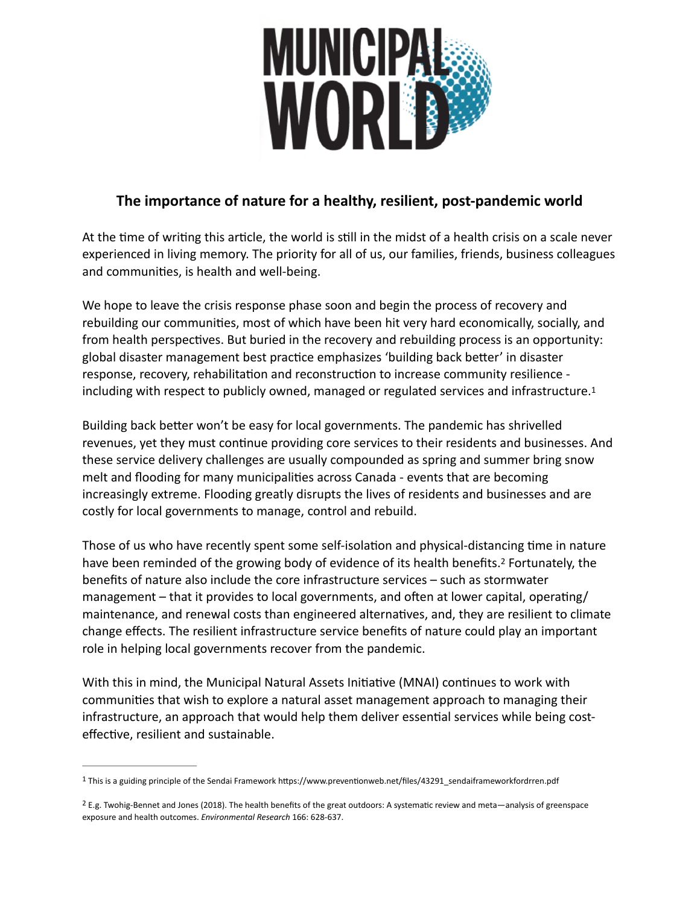<span id="page-0-2"></span>

## **The importance of nature for a healthy, resilient, post-pandemic world**

At the time of writing this article, the world is still in the midst of a health crisis on a scale never experienced in living memory. The priority for all of us, our families, friends, business colleagues and communities, is health and well-being.

We hope to leave the crisis response phase soon and begin the process of recovery and rebuilding our communities, most of which have been hit very hard economically, socially, and from health perspectives. But buried in the recovery and rebuilding process is an opportunity: global disaster management best practice emphasizes 'building back better' in disaster response, recovery, rehabilitation and reconstruction to increase community resilience including with respect to publicly owned, managed or regulated services and infrastructure[.1](#page-0-0)

Building back better won't be easy for local governments. The pandemic has shrivelled revenues, yet they must continue providing core services to their residents and businesses. And these service delivery challenges are usually compounded as spring and summer bring snow melt and flooding for many municipalities across Canada - events that are becoming increasingly extreme. Flooding greatly disrupts the lives of residents and businesses and are costly for local governments to manage, control and rebuild.

<span id="page-0-3"></span>Those of us who have recently spent some self-isolation and physical-distancing time in nature have been reminded of the growing body of evidence of its health benefits[.](#page-0-1)<sup>[2](#page-0-1)</sup> Fortunately, the benefits of nature also include the core infrastructure services – such as stormwater management – that it provides to local governments, and often at lower capital, operating/ maintenance, and renewal costs than engineered alternatives, and, they are resilient to climate change effects. The resilient infrastructure service benefits of nature could play an important role in helping local governments recover from the pandemic.

With this in mind, the Municipal Natural Assets Initiative (MNAI) continues to work with communities that wish to explore a natural asset management approach to managing their infrastructure, an approach that would help them deliver essential services while being costeffective, resilient and sustainable.

<span id="page-0-0"></span><sup>&</sup>lt;sup>[1](#page-0-2)</sup> This is a guiding principle of the Sendai Framework https://www.preventionweb.net/files/43291\_sendaiframeworkfordrren.pdf

<span id="page-0-1"></span><sup>&</sup>lt;sup>[2](#page-0-3)</sup> E.g. Twohig-Bennet and Jones (2018). The health benefits of the great outdoors: A systematic review and meta—analysis of greenspace exposure and health outcomes. *Environmental Research* 166: 628-637.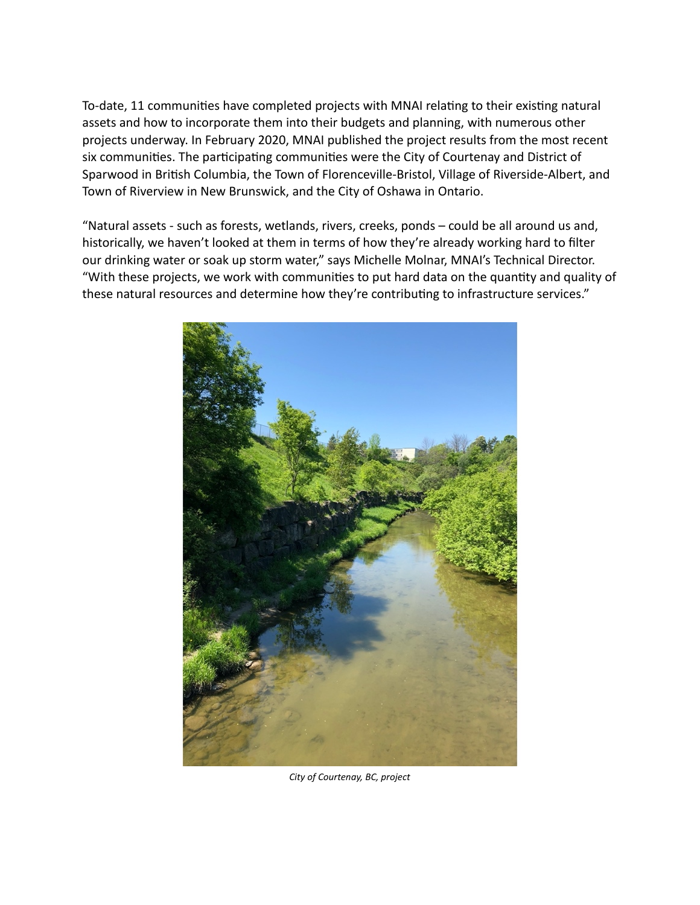To-date, 11 communities have completed projects with MNAI relating to their existing natural assets and how to incorporate them into their budgets and planning, with numerous other projects underway. In February 2020, MNAI published the project results from the most recent six communities. The participating communities were the City of Courtenay and District of Sparwood in British Columbia, the Town of Florenceville-Bristol, Village of Riverside-Albert, and Town of Riverview in New Brunswick, and the City of Oshawa in Ontario.

"Natural assets - such as forests, wetlands, rivers, creeks, ponds – could be all around us and, historically, we haven't looked at them in terms of how they're already working hard to filter our drinking water or soak up storm water," says Michelle Molnar, MNAI's Technical Director. "With these projects, we work with communities to put hard data on the quantity and quality of these natural resources and determine how they're contributing to infrastructure services."



*City of Courtenay, BC, project*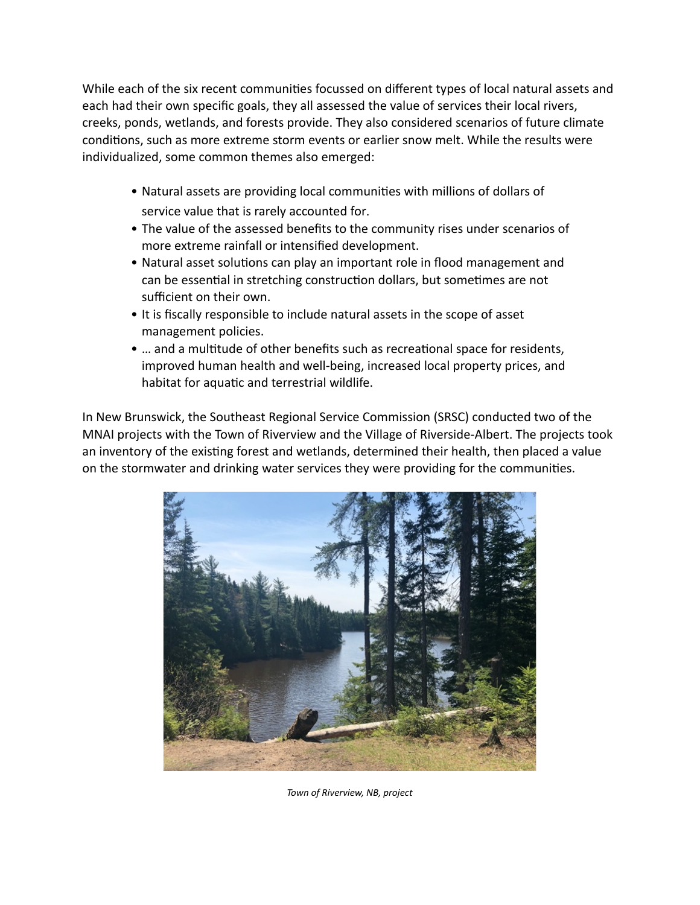While each of the six recent communities focussed on different types of local natural assets and each had their own specific goals, they all assessed the value of services their local rivers, creeks, ponds, wetlands, and forests provide. They also considered scenarios of future climate conditions, such as more extreme storm events or earlier snow melt. While the results were individualized, some common themes also emerged:

- Natural assets are providing local communities with millions of dollars of service value that is rarely accounted for.
- The value of the assessed benefits to the community rises under scenarios of more extreme rainfall or intensified development.
- Natural asset solutions can play an important role in flood management and can be essential in stretching construction dollars, but sometimes are not sufficient on their own.
- It is fiscally responsible to include natural assets in the scope of asset management policies.
- … and a multitude of other benefits such as recreational space for residents, improved human health and well-being, increased local property prices, and habitat for aquatic and terrestrial wildlife.

In New Brunswick, the Southeast Regional Service Commission (SRSC) conducted two of the MNAI projects with the Town of Riverview and the Village of Riverside-Albert. The projects took an inventory of the existing forest and wetlands, determined their health, then placed a value on the stormwater and drinking water services they were providing for the communities.



*Town of Riverview, NB, project*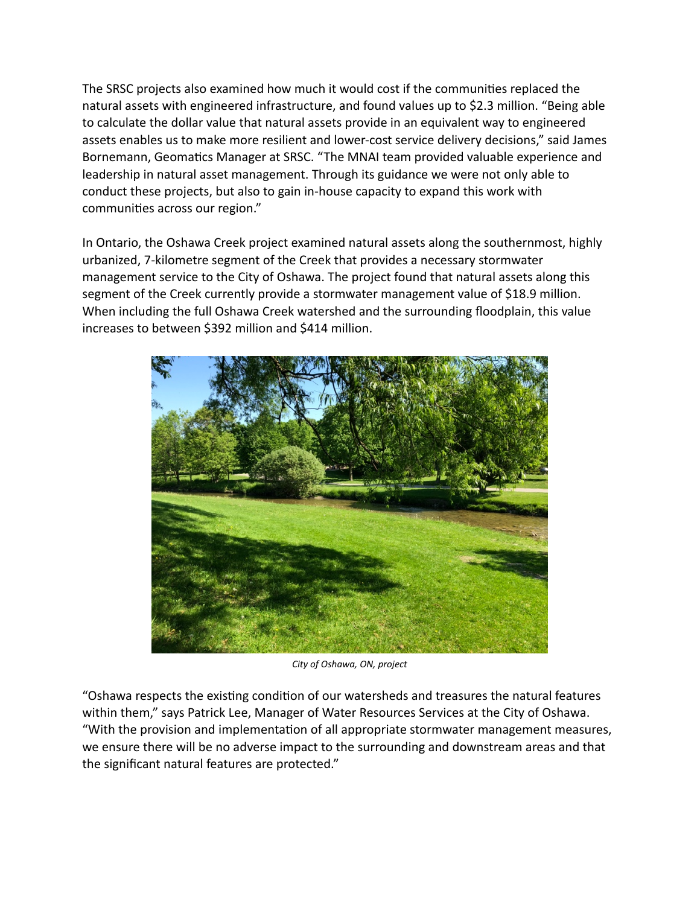The SRSC projects also examined how much it would cost if the communities replaced the natural assets with engineered infrastructure, and found values up to \$2.3 million. "Being able to calculate the dollar value that natural assets provide in an equivalent way to engineered assets enables us to make more resilient and lower-cost service delivery decisions," said James Bornemann, Geomatics Manager at SRSC. "The MNAI team provided valuable experience and leadership in natural asset management. Through its guidance we were not only able to conduct these projects, but also to gain in-house capacity to expand this work with communities across our region."

In Ontario, the Oshawa Creek project examined natural assets along the southernmost, highly urbanized, 7-kilometre segment of the Creek that provides a necessary stormwater management service to the City of Oshawa. The project found that natural assets along this segment of the Creek currently provide a stormwater management value of \$18.9 million. When including the full Oshawa Creek watershed and the surrounding floodplain, this value increases to between \$392 million and \$414 million.



*City of Oshawa, ON, project*

"Oshawa respects the existing condition of our watersheds and treasures the natural features within them," says Patrick Lee, Manager of Water Resources Services at the City of Oshawa. "With the provision and implementation of all appropriate stormwater management measures, we ensure there will be no adverse impact to the surrounding and downstream areas and that the significant natural features are protected."